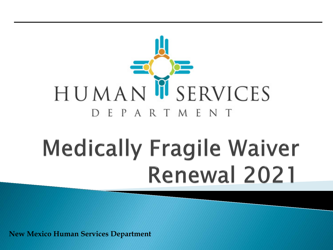

# **Medically Fragile Waiver Renewal 2021**

**New Mexico Human Services Department**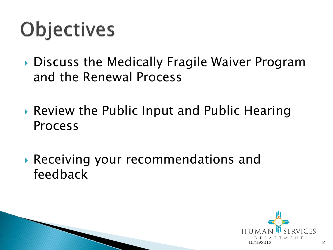# **Objectives**

- ▶ Discuss the Medically Fragile Waiver Program and the Renewal Process
- ▶ Review the Public Input and Public Hearing Process
- Receiving your recommendations and feedback

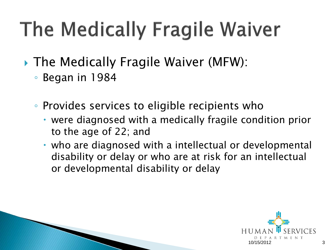# The Medically Fragile Waiver

- ▶ The Medically Fragile Waiver (MFW):
	- Began in 1984
	- Provides services to eligible recipients who
		- were diagnosed with a medically fragile condition prior to the age of 22; and
		- who are diagnosed with a intellectual or developmental disability or delay or who are at risk for an intellectual or developmental disability or delay

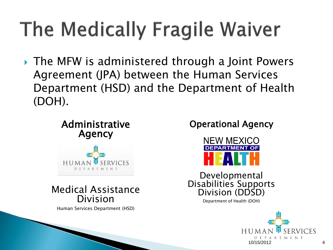# The Medically Fragile Waiver

▶ The MFW is administered through a Joint Powers Agreement (JPA) between the Human Services Department (HSD) and the Department of Health (DOH).

#### Administrative Agency



#### Medical Assistance Division

Human Services Department (HSD)

#### Operational Agency



Developmental Disabilities Supports Division (DDSD)

Department of Health (DOH)

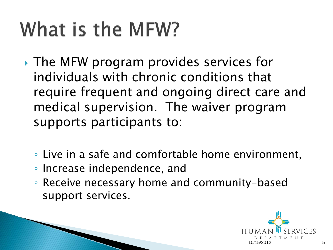# What is the MFW?

- ▶ The MFW program provides services for individuals with chronic conditions that require frequent and ongoing direct care and medical supervision. The waiver program supports participants to:
	- Live in a safe and comfortable home environment,
	- Increase independence, and
	- Receive necessary home and community-based support services.

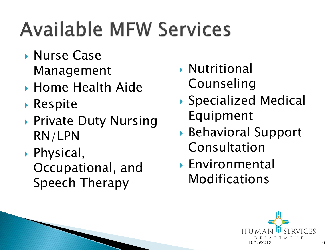# **Available MFW Services**

- ▶ Nurse Case Management
- ▶ Home Health Aide
- ▶ Respite
- ▶ Private Duty Nursing RN/LPN
- ▶ Physical, Occupational, and Speech Therapy
- Nutritional Counseling
- ▶ Specialized Medical Equipment
- ▶ Behavioral Support Consultation
- Environmental Modifications

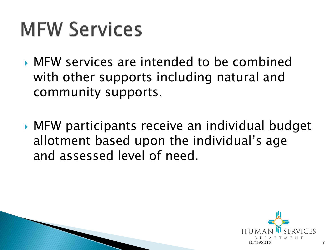## **MFW Services**

- MFW services are intended to be combined with other supports including natural and community supports.
- MFW participants receive an individual budget allotment based upon the individual's age and assessed level of need.

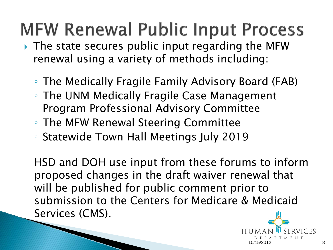### **MFW Renewal Public Input Process**

- The state secures public input regarding the MFW renewal using a variety of methods including:
	- The Medically Fragile Family Advisory Board (FAB)
	- The UNM Medically Fragile Case Management Program Professional Advisory Committee
	- The MFW Renewal Steering Committee
	- Statewide Town Hall Meetings July 2019

HSD and DOH use input from these forums to inform proposed changes in the draft waiver renewal that will be published for public comment prior to submission to the Centers for Medicare & Medicaid Services (CMS).

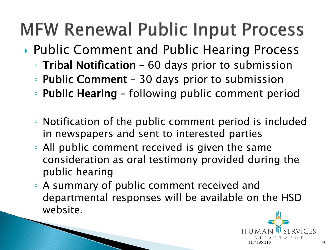### **MFW Renewal Public Input Process**

- ▶ Public Comment and Public Hearing Process
	- Tribal Notification 60 days prior to submission
	- Public Comment 30 days prior to submission
	- Public Hearing following public comment period
	- Notification of the public comment period is included in newspapers and sent to interested parties
	- All public comment received is given the same consideration as oral testimony provided during the public hearing
	- A summary of public comment received and departmental responses will be available on the HSD website.

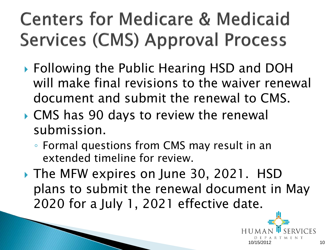## **Centers for Medicare & Medicaid Services (CMS) Approval Process**

- ▶ Following the Public Hearing HSD and DOH will make final revisions to the waiver renewal document and submit the renewal to CMS.
- ▶ CMS has 90 days to review the renewal submission.
	- Formal questions from CMS may result in an extended timeline for review.
- ▶ The MFW expires on June 30, 2021. HSD plans to submit the renewal document in May 2020 for a July 1, 2021 effective date.

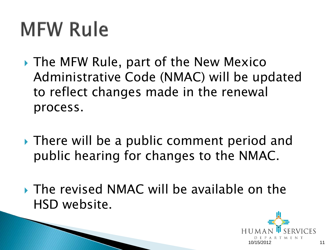# **MFW Rule**

- ▶ The MFW Rule, part of the New Mexico Administrative Code (NMAC) will be updated to reflect changes made in the renewal process.
- ▶ There will be a public comment period and public hearing for changes to the NMAC.
- ▶ The revised NMAC will be available on the HSD website.

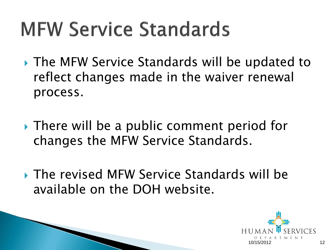# **MFW Service Standards**

- ▶ The MFW Service Standards will be updated to reflect changes made in the waiver renewal process.
- ▶ There will be a public comment period for changes the MFW Service Standards.
- ▶ The revised MFW Service Standards will be available on the DOH website.

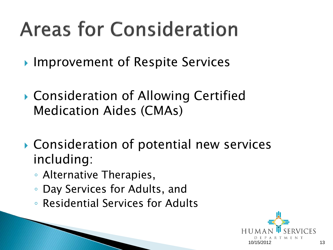# **Areas for Consideration**

- ▶ Improvement of Respite Services
- ▶ Consideration of Allowing Certified Medication Aides (CMAs)
- ▶ Consideration of potential new services including:
	- Alternative Therapies,
	- Day Services for Adults, and
	- Residential Services for Adults

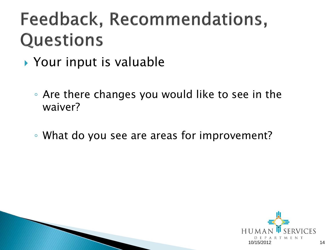#### Feedback, Recommendations, Questions

- ▶ Your input is valuable
	- Are there changes you would like to see in the waiver?
	- What do you see are areas for improvement?



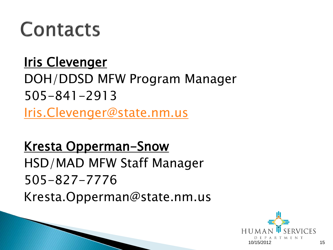## Contacts

#### **Iris Clevenger** DOH/DDSD MFW Program Manager 505-841-2913 [Iris.Clevenger@state.nm.us](mailto:Iris.Clevenger@state.nm.us)

Kresta Opperman-Snow HSD/MAD MFW Staff Manager 505-827-7776 Kresta.Opperman@state.nm.us

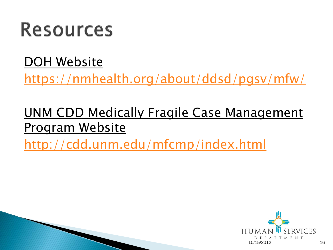#### **Resources**

#### DOH Website

<https://nmhealth.org/about/ddsd/pgsv/mfw/>

#### UNM CDD Medically Fragile Case Management Program Website

<http://cdd.unm.edu/mfcmp/index.html>